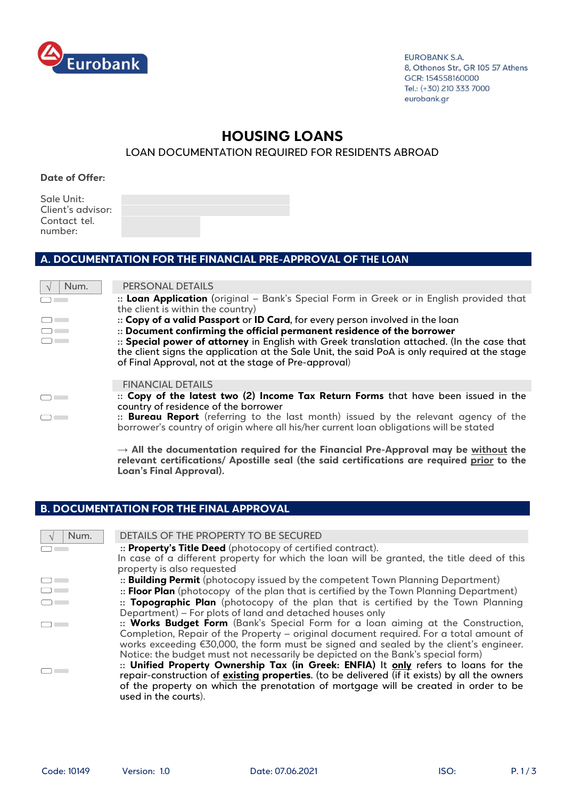

**EUROBANK S.A.** 8, Othonos Str., GR 105 57 Athens GCR: 154558160000 Tel.: (+30) 210 333 7000 eurobank.gr

# **HOUSING LOANS**

LOAN DOCUMENTATION REQUIRED FOR RESIDENTS ABROAD

**Date of Offer:** 

Sale Unit: Client's advisor: Contact tel. number:

### **Α. DOCUMENTATION FOR THE FINANCIAL PRE-APPROVAL OF THE LOAN**

| Num.         | PERSONAL DETAILS                                                                                                                                                                                                                                    |
|--------------|-----------------------------------------------------------------------------------------------------------------------------------------------------------------------------------------------------------------------------------------------------|
|              | :: Loan Application (original - Bank's Special Form in Greek or in English provided that<br>the client is within the country)                                                                                                                       |
| $\mathbf{1}$ | :: Copy of a valid Passport or ID Card, for every person involved in the loan                                                                                                                                                                       |
|              | :: Document confirming the official permanent residence of the borrower                                                                                                                                                                             |
|              | :: Special power of attorney in English with Greek translation attached. (In the case that<br>the client signs the application at the Sale Unit, the said PoA is only required at the stage<br>of Final Approval, not at the stage of Pre-approval) |
|              | <b>FINANCIAL DETAILS</b>                                                                                                                                                                                                                            |
|              | :: Copy of the latest two (2) Income Tax Return Forms that have been issued in the<br>country of residence of the borrower                                                                                                                          |
|              | :: <b>Bureau Report</b> (referring to the last month) issued by the relevant agency of the<br>borrower's country of origin where all his/her current loan obligations will be stated                                                                |
|              | $\rightarrow$ All the documentation required for the Financial Pre-Approval may be without the<br>relevant certifications/ Apostille seal (the said certifications are required prior to the                                                        |

#### **Β. DOCUMENTATION FOR THE FINAL APPROVAL**

**Loan's Final Approval).**

| Num. | DETAILS OF THE PROPERTY TO BE SECURED                                                                |
|------|------------------------------------------------------------------------------------------------------|
|      | :: Property's Title Deed (photocopy of certified contract).                                          |
|      | In case of a different property for which the loan will be granted, the title deed of this           |
|      | property is also requested                                                                           |
|      | :: <b>Building Permit</b> (photocopy issued by the competent Town Planning Department)               |
|      | :: Floor Plan (photocopy of the plan that is certified by the Town Planning Department)              |
|      | :: Topographic Plan (photocopy of the plan that is certified by the Town Planning                    |
|      | Department) - For plots of land and detached houses only                                             |
|      | :: Works Budget Form (Bank's Special Form for a loan aiming at the Construction,                     |
|      | Completion, Repair of the Property - original document required. For a total amount of               |
|      | works exceeding €30,000, the form must be signed and sealed by the client's engineer.                |
|      | Notice: the budget must not necessarily be depicted on the Bank's special form)                      |
|      | :: Unified Property Ownership Tax (in Greek: ENFIA) It only refers to loans for the                  |
|      | repair-construction of <i>existing</i> properties. (to be delivered (if it exists) by all the owners |
|      | of the property on which the prenotation of mortgage will be created in order to be                  |
|      | used in the courts).                                                                                 |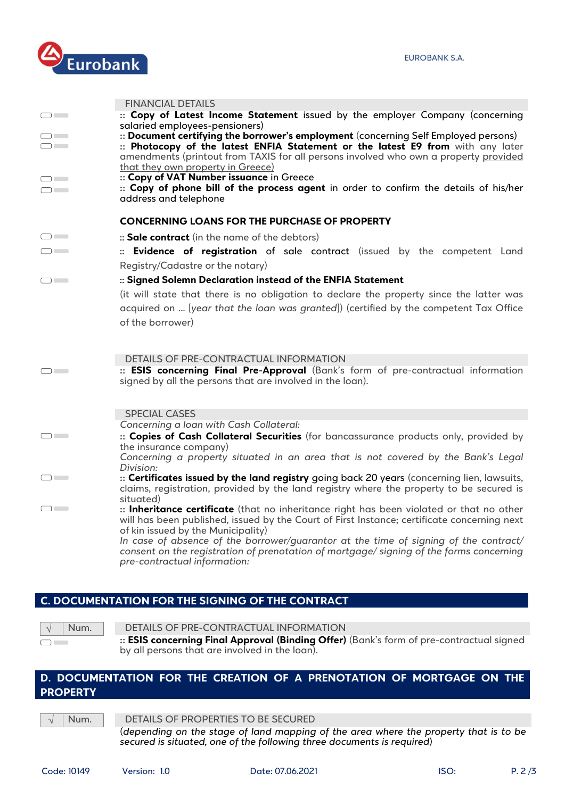

|                  | <b>FINANCIAL DETAILS</b>                                                                                                                                                                                                                                                                                                              |
|------------------|---------------------------------------------------------------------------------------------------------------------------------------------------------------------------------------------------------------------------------------------------------------------------------------------------------------------------------------|
| $\Box$           | :: Copy of Latest Income Statement issued by the employer Company (concerning                                                                                                                                                                                                                                                         |
| $\Box$<br>$\Box$ | salaried employees-pensioners)<br>:: Document certifying the borrower's employment (concerning Self Employed persons)<br>:: Photocopy of the latest ENFIA Statement or the latest E9 from with any later<br>amendments (printout from TAXIS for all persons involved who own a property provided<br>that they own property in Greece) |
| $\Box$<br>$\Box$ | :: Copy of VAT Number issuance in Greece<br>:: Copy of phone bill of the process agent in order to confirm the details of his/her<br>address and telephone                                                                                                                                                                            |
|                  | <b>CONCERNING LOANS FOR THE PURCHASE OF PROPERTY</b>                                                                                                                                                                                                                                                                                  |
| $\Box$           | :: Sale contract (in the name of the debtors)                                                                                                                                                                                                                                                                                         |
| $\Box$           | :: Evidence of registration of sale contract (issued by the competent Land<br>Registry/Cadastre or the notary)                                                                                                                                                                                                                        |
| $\Box$           | :: Signed Solemn Declaration instead of the ENFIA Statement                                                                                                                                                                                                                                                                           |
|                  | (it will state that there is no obligation to declare the property since the latter was                                                                                                                                                                                                                                               |
|                  | acquired on  [year that the loan was granted]) (certified by the competent Tax Office<br>of the borrower)                                                                                                                                                                                                                             |
| $\Box$           | DETAILS OF PRE-CONTRACTUAL INFORMATION<br>:: ESIS concerning Final Pre-Approval (Bank's form of pre-contractual information<br>signed by all the persons that are involved in the loan).                                                                                                                                              |
|                  |                                                                                                                                                                                                                                                                                                                                       |
|                  | <b>SPECIAL CASES</b><br>Concerning a loan with Cash Collateral:                                                                                                                                                                                                                                                                       |
| $\Box$           | :: Copies of Cash Collateral Securities (for bancassurance products only, provided by<br>the insurance company)                                                                                                                                                                                                                       |
|                  | Concerning a property situated in an area that is not covered by the Bank's Legal<br>Division:                                                                                                                                                                                                                                        |
| $\Box$           | :: Certificates issued by the land registry going back 20 years (concerning lien, lawsuits,<br>claims, registration, provided by the land registry where the property to be secured is<br>situated)                                                                                                                                   |
| $\Box$           | :: Inheritance certificate (that no inheritance right has been violated or that no other<br>will has been published, issued by the Court of First Instance; certificate concerning next<br>of kin issued by the Municipality)                                                                                                         |
|                  | In case of absence of the borrower/guarantor at the time of signing of the contract/<br>consent on the registration of prenotation of mortgage/signing of the forms concerning<br>pre-contractual information:                                                                                                                        |

# **C. DOCUMENTATION FOR THE SIGNING OF THE CONTRACT**

| ۱. |
|----|
|    |

**Num. DETAILS OF PRE-CONTRACTUAL INFORMATION** 

**:: ESIS concerning Final Approval (Binding Offer)** (Bank's form of pre-contractual signed by all persons that are involved in the loan).

# **D. DOCUMENTATION FOR THE CREATION OF A PRENOTATION OF MORTGAGE ON THE PROPERTY**

Num. DETAILS OF PROPERTIES TO BE SECURED

(*depending on the stage of land mapping of the area where the property that is to be secured is situated, one of the following three documents is required*)